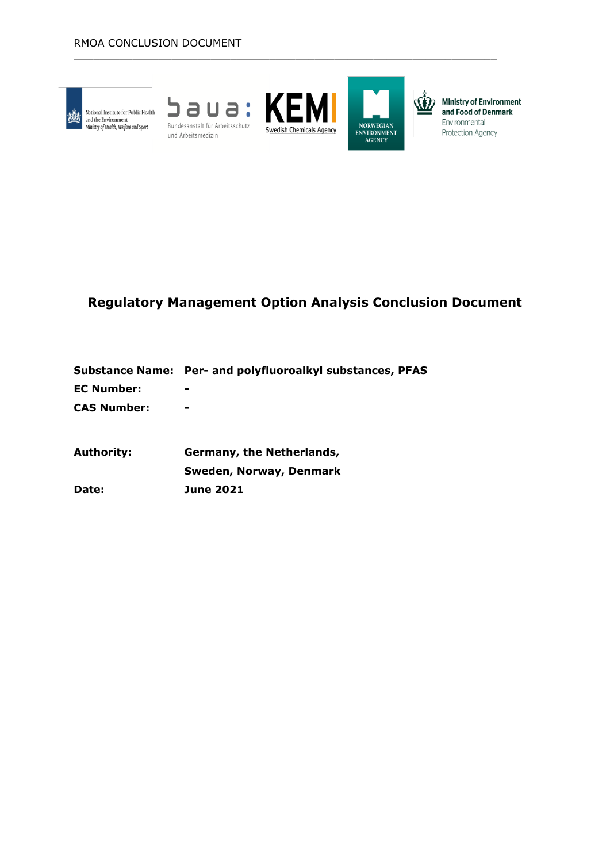

National Institute for Public Health ad the Environment<br>Ministry of Health, Welfare and Sport





 $\_$  , and the set of the set of the set of the set of the set of the set of the set of the set of the set of the set of the set of the set of the set of the set of the set of the set of the set of the set of the set of th



(1) Ministry of Environment and Food of Denmark Environmental Protection Agency

# **Regulatory Management Option Analysis Conclusion Document**

|             | Substance Name: Per- and polyfluoroalkyl substances, PFAS |
|-------------|-----------------------------------------------------------|
| EC Number:  | $\overline{\phantom{a}}$                                  |
| CAS Number: | $\overline{\phantom{a}}$                                  |

**Authority: Germany, the Netherlands, Sweden, Norway, Denmark Date: June 2021**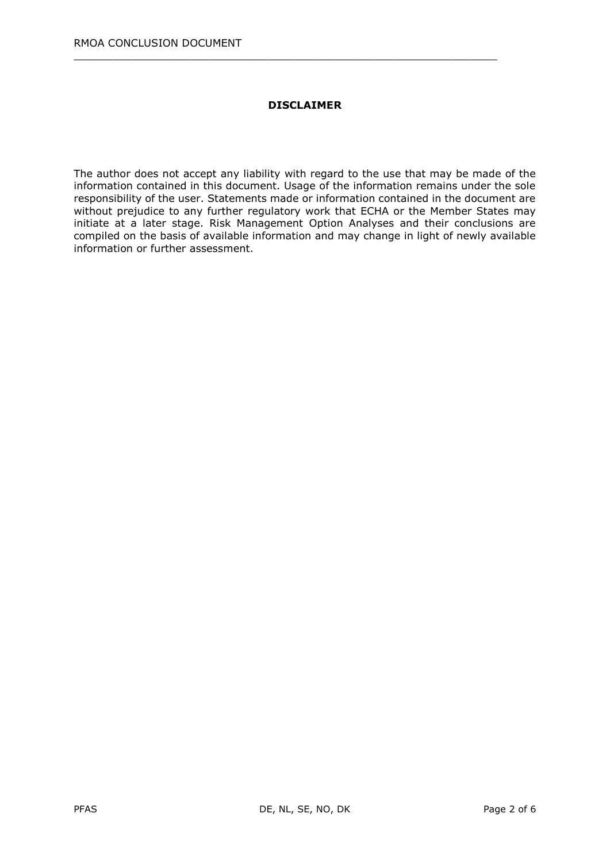### **DISCLAIMER**

 $\_$  , and the set of the set of the set of the set of the set of the set of the set of the set of the set of the set of the set of the set of the set of the set of the set of the set of the set of the set of the set of th

The author does not accept any liability with regard to the use that may be made of the information contained in this document. Usage of the information remains under the sole responsibility of the user. Statements made or information contained in the document are without prejudice to any further regulatory work that ECHA or the Member States may initiate at a later stage. Risk Management Option Analyses and their conclusions are compiled on the basis of available information and may change in light of newly available information or further assessment.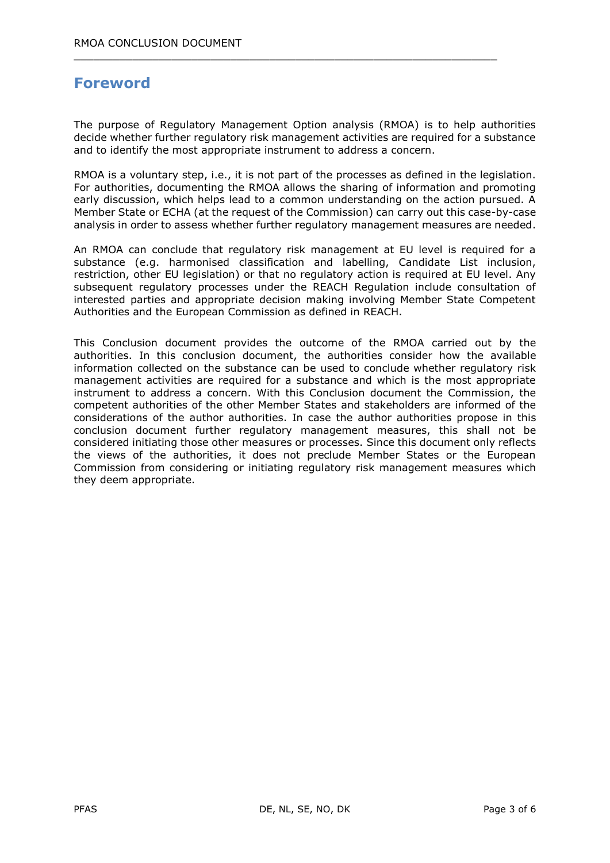# **Foreword**

The purpose of Regulatory Management Option analysis (RMOA) is to help authorities decide whether further regulatory risk management activities are required for a substance and to identify the most appropriate instrument to address a concern.

 $\_$  , and the set of the set of the set of the set of the set of the set of the set of the set of the set of the set of the set of the set of the set of the set of the set of the set of the set of the set of the set of th

RMOA is a voluntary step, i.e., it is not part of the processes as defined in the legislation. For authorities, documenting the RMOA allows the sharing of information and promoting early discussion, which helps lead to a common understanding on the action pursued. A Member State or ECHA (at the request of the Commission) can carry out this case-by-case analysis in order to assess whether further regulatory management measures are needed.

An RMOA can conclude that regulatory risk management at EU level is required for a substance (e.g. harmonised classification and labelling, Candidate List inclusion, restriction, other EU legislation) or that no regulatory action is required at EU level. Any subsequent regulatory processes under the REACH Regulation include consultation of interested parties and appropriate decision making involving Member State Competent Authorities and the European Commission as defined in REACH.

This Conclusion document provides the outcome of the RMOA carried out by the authorities. In this conclusion document, the authorities consider how the available information collected on the substance can be used to conclude whether regulatory risk management activities are required for a substance and which is the most appropriate instrument to address a concern. With this Conclusion document the Commission, the competent authorities of the other Member States and stakeholders are informed of the considerations of the author authorities. In case the author authorities propose in this conclusion document further regulatory management measures, this shall not be considered initiating those other measures or processes. Since this document only reflects the views of the authorities, it does not preclude Member States or the European Commission from considering or initiating regulatory risk management measures which they deem appropriate.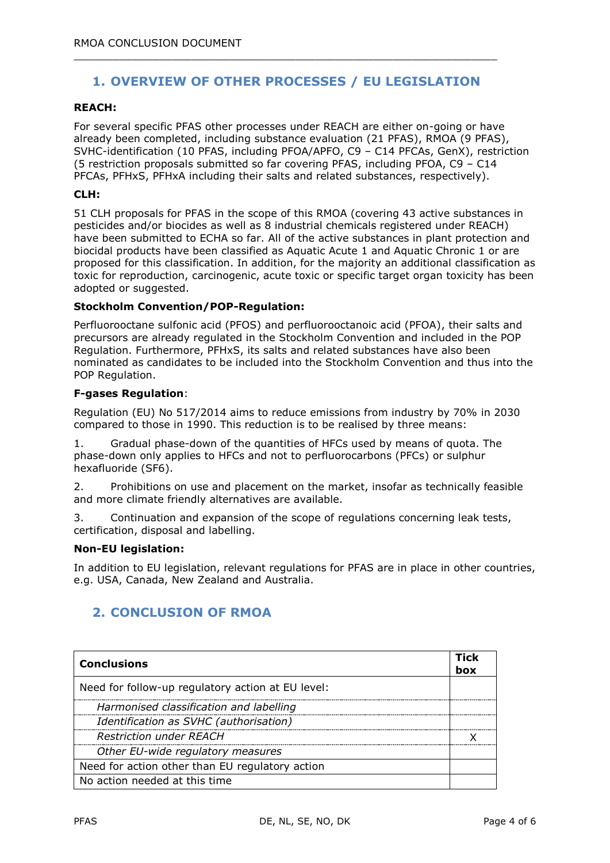## **1. OVERVIEW OF OTHER PROCESSES / EU LEGISLATION**

 $\_$  , and the set of the set of the set of the set of the set of the set of the set of the set of the set of the set of the set of the set of the set of the set of the set of the set of the set of the set of the set of th

#### **REACH:**

For several specific PFAS other processes under REACH are either on-going or have already been completed, including substance evaluation (21 PFAS), RMOA (9 PFAS), SVHC-identification (10 PFAS, including PFOA/APFO, C9 – C14 PFCAs, GenX), restriction (5 restriction proposals submitted so far covering PFAS, including PFOA, C9 – C14 PFCAs, PFHxS, PFHxA including their salts and related substances, respectively).

#### **CLH:**

51 CLH proposals for PFAS in the scope of this RMOA (covering 43 active substances in pesticides and/or biocides as well as 8 industrial chemicals registered under REACH) have been submitted to ECHA so far. All of the active substances in plant protection and biocidal products have been classified as Aquatic Acute 1 and Aquatic Chronic 1 or are proposed for this classification. In addition, for the majority an additional classification as toxic for reproduction, carcinogenic, acute toxic or specific target organ toxicity has been adopted or suggested.

#### **Stockholm Convention/POP-Regulation:**

Perfluorooctane sulfonic acid (PFOS) and perfluorooctanoic acid (PFOA), their salts and precursors are already regulated in the Stockholm Convention and included in the POP Regulation. Furthermore, PFHxS, its salts and related substances have also been nominated as candidates to be included into the Stockholm Convention and thus into the POP Regulation.

#### **F-gases Regulation**:

Regulation (EU) No 517/2014 aims to reduce emissions from industry by 70% in 2030 compared to those in 1990. This reduction is to be realised by three means:

1. Gradual phase-down of the quantities of HFCs used by means of quota. The phase-down only applies to HFCs and not to perfluorocarbons (PFCs) or sulphur hexafluoride (SF6).

2. Prohibitions on use and placement on the market, insofar as technically feasible and more climate friendly alternatives are available.

3. Continuation and expansion of the scope of regulations concerning leak tests, certification, disposal and labelling.

#### **Non-EU legislation:**

In addition to EU legislation, relevant regulations for PFAS are in place in other countries, e.g. USA, Canada, New Zealand and Australia.

## **2. CONCLUSION OF RMOA**

| <b>Conclusions</b>                                |  |
|---------------------------------------------------|--|
| Need for follow-up regulatory action at EU level: |  |
| Harmonised classification and labelling           |  |
| Identification as SVHC (authorisation)            |  |
| <b>Restriction under REACH</b>                    |  |
| Other EU-wide regulatory measures                 |  |
| Need for action other than EU regulatory action   |  |
| No action needed at this time                     |  |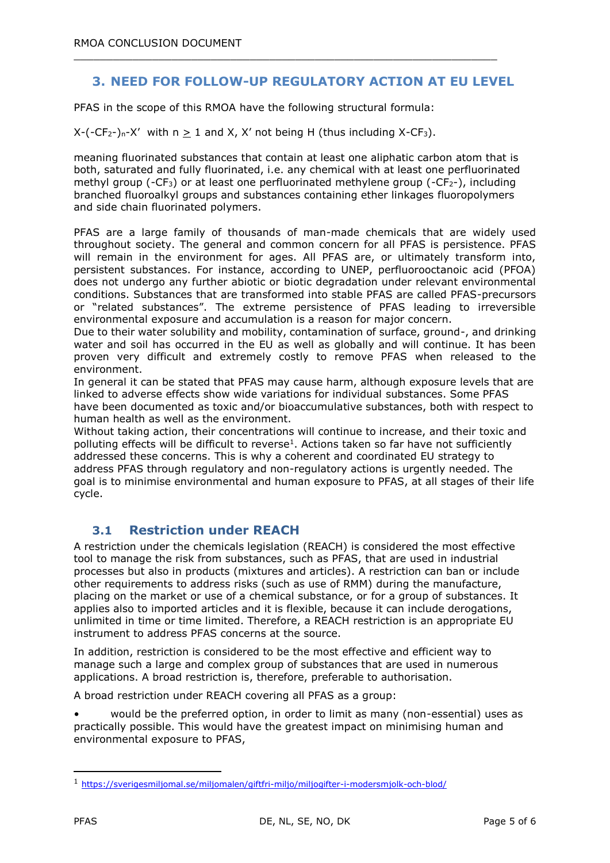## **3. NEED FOR FOLLOW-UP REGULATORY ACTION AT EU LEVEL**

 $\_$  , and the set of the set of the set of the set of the set of the set of the set of the set of the set of the set of the set of the set of the set of the set of the set of the set of the set of the set of the set of th

PFAS in the scope of this RMOA have the following structural formula:

 $X-(-CF_{2})_n-X'$  with  $n > 1$  and X, X' not being H (thus including X-CF<sub>3</sub>).

meaning fluorinated substances that contain at least one aliphatic carbon atom that is both, saturated and fully fluorinated, i.e. any chemical with at least one perfluorinated methyl group (-CF<sub>3</sub>) or at least one perfluorinated methylene group (-CF<sub>2</sub>-), including branched fluoroalkyl groups and substances containing ether linkages fluoropolymers and side chain fluorinated polymers.

PFAS are a large family of thousands of man-made chemicals that are widely used throughout society. The general and common concern for all PFAS is persistence. PFAS will remain in the environment for ages. All PFAS are, or ultimately transform into, persistent substances. For instance, according to UNEP, perfluorooctanoic acid (PFOA) does not undergo any further abiotic or biotic degradation under relevant environmental conditions. Substances that are transformed into stable PFAS are called PFAS-precursors or "related substances". The extreme persistence of PFAS leading to irreversible environmental exposure and accumulation is a reason for major concern.

Due to their water solubility and mobility, contamination of surface, ground-, and drinking water and soil has occurred in the EU as well as globally and will continue. It has been proven very difficult and extremely costly to remove PFAS when released to the environment.

In general it can be stated that PFAS may cause harm, although exposure levels that are linked to adverse effects show wide variations for individual substances. Some PFAS have been documented as toxic and/or bioaccumulative substances, both with respect to human health as well as the environment.

Without taking action, their concentrations will continue to increase, and their toxic and polluting effects will be difficult to reverse<sup>1</sup>. Actions taken so far have not sufficiently addressed these concerns. This is why a coherent and coordinated EU strategy to address PFAS through regulatory and non-regulatory actions is urgently needed. The goal is to minimise environmental and human exposure to PFAS, at all stages of their life cycle.

## **3.1 Restriction under REACH**

A restriction under the chemicals legislation (REACH) is considered the most effective tool to manage the risk from substances, such as PFAS, that are used in industrial processes but also in products (mixtures and articles). A restriction can ban or include other requirements to address risks (such as use of RMM) during the manufacture, placing on the market or use of a chemical substance, or for a group of substances. It applies also to imported articles and it is flexible, because it can include derogations, unlimited in time or time limited. Therefore, a REACH restriction is an appropriate EU instrument to address PFAS concerns at the source.

In addition, restriction is considered to be the most effective and efficient way to manage such a large and complex group of substances that are used in numerous applications. A broad restriction is, therefore, preferable to authorisation.

A broad restriction under REACH covering all PFAS as a group:

• would be the preferred option, in order to limit as many (non-essential) uses as practically possible. This would have the greatest impact on minimising human and environmental exposure to PFAS,

-

<sup>1</sup> <https://sverigesmiljomal.se/miljomalen/giftfri-miljo/miljogifter-i-modersmjolk-och-blod/>